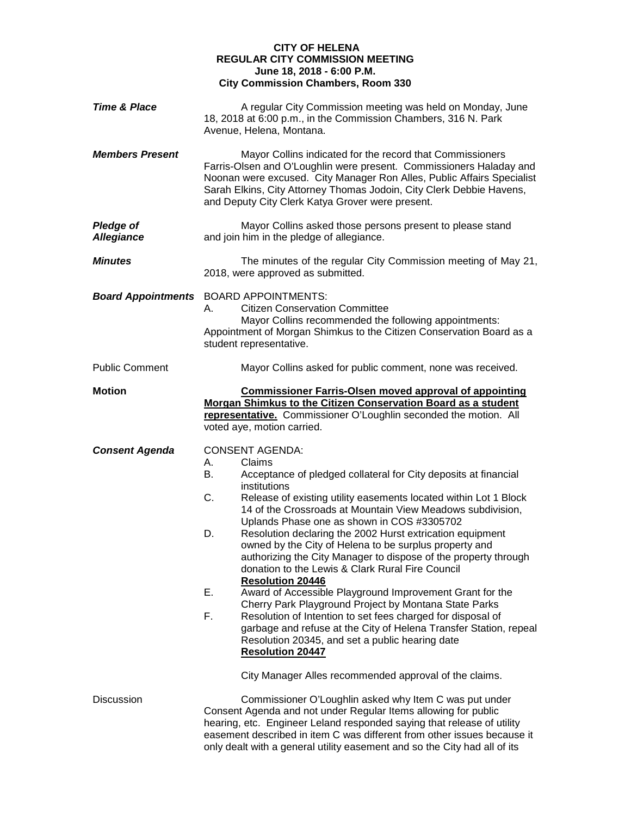## **CITY OF HELENA REGULAR CITY COMMISSION MEETING June 18, 2018 - 6:00 P.M. City Commission Chambers, Room 330**

| <b>Time &amp; Place</b>               | A regular City Commission meeting was held on Monday, June<br>18, 2018 at 6:00 p.m., in the Commission Chambers, 316 N. Park<br>Avenue, Helena, Montana.                                                                                                                                                                                                                                                                                                                                                                                                                                                                                                                                                                                                                                                                                                                                                                                                                                                          |
|---------------------------------------|-------------------------------------------------------------------------------------------------------------------------------------------------------------------------------------------------------------------------------------------------------------------------------------------------------------------------------------------------------------------------------------------------------------------------------------------------------------------------------------------------------------------------------------------------------------------------------------------------------------------------------------------------------------------------------------------------------------------------------------------------------------------------------------------------------------------------------------------------------------------------------------------------------------------------------------------------------------------------------------------------------------------|
| <b>Members Present</b>                | Mayor Collins indicated for the record that Commissioners<br>Farris-Olsen and O'Loughlin were present. Commissioners Haladay and<br>Noonan were excused. City Manager Ron Alles, Public Affairs Specialist<br>Sarah Elkins, City Attorney Thomas Jodoin, City Clerk Debbie Havens,<br>and Deputy City Clerk Katya Grover were present.                                                                                                                                                                                                                                                                                                                                                                                                                                                                                                                                                                                                                                                                            |
| <b>Pledge of</b><br><b>Allegiance</b> | Mayor Collins asked those persons present to please stand<br>and join him in the pledge of allegiance.                                                                                                                                                                                                                                                                                                                                                                                                                                                                                                                                                                                                                                                                                                                                                                                                                                                                                                            |
| <b>Minutes</b>                        | The minutes of the regular City Commission meeting of May 21,<br>2018, were approved as submitted.                                                                                                                                                                                                                                                                                                                                                                                                                                                                                                                                                                                                                                                                                                                                                                                                                                                                                                                |
|                                       | <b>Board Appointments</b> BOARD APPOINTMENTS:<br><b>Citizen Conservation Committee</b><br>Mayor Collins recommended the following appointments:<br>Appointment of Morgan Shimkus to the Citizen Conservation Board as a<br>student representative.                                                                                                                                                                                                                                                                                                                                                                                                                                                                                                                                                                                                                                                                                                                                                                |
| <b>Public Comment</b>                 | Mayor Collins asked for public comment, none was received.                                                                                                                                                                                                                                                                                                                                                                                                                                                                                                                                                                                                                                                                                                                                                                                                                                                                                                                                                        |
| <b>Motion</b>                         | <b>Commissioner Farris-Olsen moved approval of appointing</b><br>Morgan Shimkus to the Citizen Conservation Board as a student<br>representative. Commissioner O'Loughlin seconded the motion. All<br>voted aye, motion carried.                                                                                                                                                                                                                                                                                                                                                                                                                                                                                                                                                                                                                                                                                                                                                                                  |
| <b>Consent Agenda</b>                 | <b>CONSENT AGENDA:</b><br>А.<br>Claims<br>В.<br>Acceptance of pledged collateral for City deposits at financial<br>institutions<br>C.<br>Release of existing utility easements located within Lot 1 Block<br>14 of the Crossroads at Mountain View Meadows subdivision,<br>Uplands Phase one as shown in COS #3305702<br>D.<br>Resolution declaring the 2002 Hurst extrication equipment<br>owned by the City of Helena to be surplus property and<br>authorizing the City Manager to dispose of the property through<br>donation to the Lewis & Clark Rural Fire Council<br><b>Resolution 20446</b><br>Ε.<br>Award of Accessible Playground Improvement Grant for the<br>Cherry Park Playground Project by Montana State Parks<br>F.<br>Resolution of Intention to set fees charged for disposal of<br>garbage and refuse at the City of Helena Transfer Station, repeal<br>Resolution 20345, and set a public hearing date<br><b>Resolution 20447</b><br>City Manager Alles recommended approval of the claims. |
| Discussion                            | Commissioner O'Loughlin asked why Item C was put under<br>Consent Agenda and not under Regular Items allowing for public<br>hearing, etc. Engineer Leland responded saying that release of utility<br>easement described in item C was different from other issues because it<br>only dealt with a general utility easement and so the City had all of its                                                                                                                                                                                                                                                                                                                                                                                                                                                                                                                                                                                                                                                        |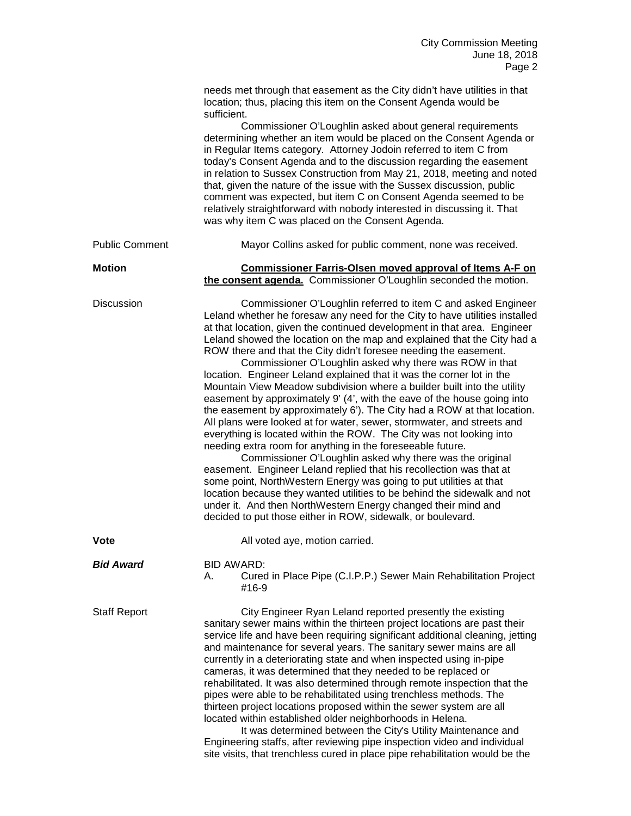|                       | needs met through that easement as the City didn't have utilities in that<br>location; thus, placing this item on the Consent Agenda would be<br>sufficient.                                                                                                                                                                                                                                                                                                                                                                                                                                                                                                                                                                                                                                                                                                                                                                                                                                                                                                                                                                                                                                                                                                                                                                                                                     |
|-----------------------|----------------------------------------------------------------------------------------------------------------------------------------------------------------------------------------------------------------------------------------------------------------------------------------------------------------------------------------------------------------------------------------------------------------------------------------------------------------------------------------------------------------------------------------------------------------------------------------------------------------------------------------------------------------------------------------------------------------------------------------------------------------------------------------------------------------------------------------------------------------------------------------------------------------------------------------------------------------------------------------------------------------------------------------------------------------------------------------------------------------------------------------------------------------------------------------------------------------------------------------------------------------------------------------------------------------------------------------------------------------------------------|
|                       | Commissioner O'Loughlin asked about general requirements<br>determining whether an item would be placed on the Consent Agenda or<br>in Regular Items category. Attorney Jodoin referred to item C from<br>today's Consent Agenda and to the discussion regarding the easement<br>in relation to Sussex Construction from May 21, 2018, meeting and noted<br>that, given the nature of the issue with the Sussex discussion, public<br>comment was expected, but item C on Consent Agenda seemed to be<br>relatively straightforward with nobody interested in discussing it. That<br>was why item C was placed on the Consent Agenda.                                                                                                                                                                                                                                                                                                                                                                                                                                                                                                                                                                                                                                                                                                                                            |
| <b>Public Comment</b> | Mayor Collins asked for public comment, none was received.                                                                                                                                                                                                                                                                                                                                                                                                                                                                                                                                                                                                                                                                                                                                                                                                                                                                                                                                                                                                                                                                                                                                                                                                                                                                                                                       |
| <b>Motion</b>         | <b>Commissioner Farris-Olsen moved approval of Items A-F on</b><br>the consent agenda. Commissioner O'Loughlin seconded the motion.                                                                                                                                                                                                                                                                                                                                                                                                                                                                                                                                                                                                                                                                                                                                                                                                                                                                                                                                                                                                                                                                                                                                                                                                                                              |
| <b>Discussion</b>     | Commissioner O'Loughlin referred to item C and asked Engineer<br>Leland whether he foresaw any need for the City to have utilities installed<br>at that location, given the continued development in that area. Engineer<br>Leland showed the location on the map and explained that the City had a<br>ROW there and that the City didn't foresee needing the easement.<br>Commissioner O'Loughlin asked why there was ROW in that<br>location. Engineer Leland explained that it was the corner lot in the<br>Mountain View Meadow subdivision where a builder built into the utility<br>easement by approximately 9' (4', with the eave of the house going into<br>the easement by approximately 6'). The City had a ROW at that location.<br>All plans were looked at for water, sewer, stormwater, and streets and<br>everything is located within the ROW. The City was not looking into<br>needing extra room for anything in the foreseeable future.<br>Commissioner O'Loughlin asked why there was the original<br>easement. Engineer Leland replied that his recollection was that at<br>some point, NorthWestern Energy was going to put utilities at that<br>location because they wanted utilities to be behind the sidewalk and not<br>under it. And then NorthWestern Energy changed their mind and<br>decided to put those either in ROW, sidewalk, or boulevard. |
| <b>Vote</b>           | All voted aye, motion carried.                                                                                                                                                                                                                                                                                                                                                                                                                                                                                                                                                                                                                                                                                                                                                                                                                                                                                                                                                                                                                                                                                                                                                                                                                                                                                                                                                   |
| <b>Bid Award</b>      | BID AWARD:<br>Cured in Place Pipe (C.I.P.P.) Sewer Main Rehabilitation Project<br>А.<br>#16-9                                                                                                                                                                                                                                                                                                                                                                                                                                                                                                                                                                                                                                                                                                                                                                                                                                                                                                                                                                                                                                                                                                                                                                                                                                                                                    |
| <b>Staff Report</b>   | City Engineer Ryan Leland reported presently the existing<br>sanitary sewer mains within the thirteen project locations are past their<br>service life and have been requiring significant additional cleaning, jetting<br>and maintenance for several years. The sanitary sewer mains are all<br>currently in a deteriorating state and when inspected using in-pipe<br>cameras, it was determined that they needed to be replaced or<br>rehabilitated. It was also determined through remote inspection that the<br>pipes were able to be rehabilitated using trenchless methods. The<br>thirteen project locations proposed within the sewer system are all<br>located within established older neighborhoods in Helena.<br>It was determined between the City's Utility Maintenance and<br>Engineering staffs, after reviewing pipe inspection video and individual                                                                                                                                                                                                                                                                                                                                                                                                                                                                                                          |

site visits, that trenchless cured in place pipe rehabilitation would be the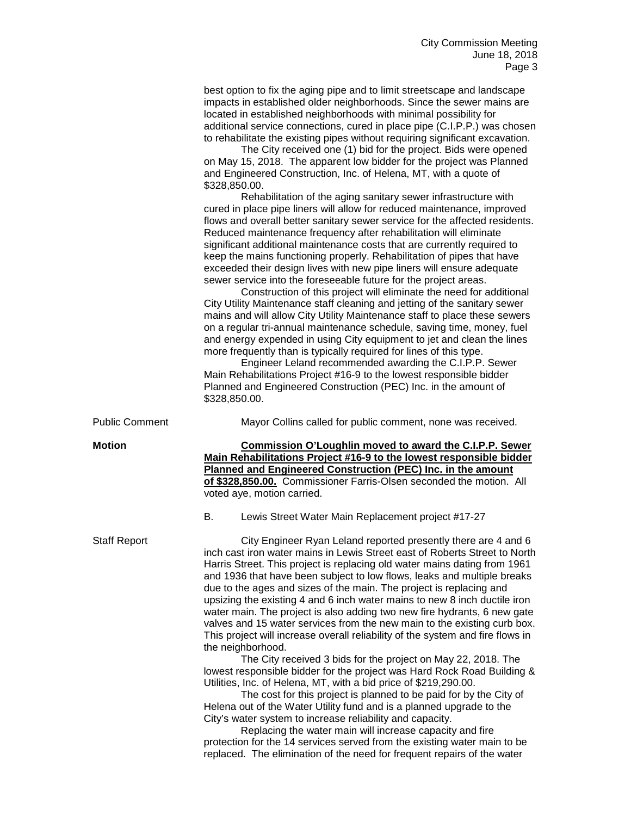best option to fix the aging pipe and to limit streetscape and landscape impacts in established older neighborhoods. Since the sewer mains are located in established neighborhoods with minimal possibility for additional service connections, cured in place pipe (C.I.P.P.) was chosen to rehabilitate the existing pipes without requiring significant excavation.

The City received one (1) bid for the project. Bids were opened on May 15, 2018. The apparent low bidder for the project was Planned and Engineered Construction, Inc. of Helena, MT, with a quote of \$328,850.00.

Rehabilitation of the aging sanitary sewer infrastructure with cured in place pipe liners will allow for reduced maintenance, improved flows and overall better sanitary sewer service for the affected residents. Reduced maintenance frequency after rehabilitation will eliminate significant additional maintenance costs that are currently required to keep the mains functioning properly. Rehabilitation of pipes that have exceeded their design lives with new pipe liners will ensure adequate sewer service into the foreseeable future for the project areas.

Construction of this project will eliminate the need for additional City Utility Maintenance staff cleaning and jetting of the sanitary sewer mains and will allow City Utility Maintenance staff to place these sewers on a regular tri-annual maintenance schedule, saving time, money, fuel and energy expended in using City equipment to jet and clean the lines more frequently than is typically required for lines of this type.

Engineer Leland recommended awarding the C.I.P.P. Sewer Main Rehabilitations Project #16-9 to the lowest responsible bidder Planned and Engineered Construction (PEC) Inc. in the amount of \$328,850.00.

Public Comment Mayor Collins called for public comment, none was received.

**Motion Commission O'Loughlin moved to award the C.I.P.P. Sewer Main Rehabilitations Project #16-9 to the lowest responsible bidder Planned and Engineered Construction (PEC) Inc. in the amount of \$328,850.00.** Commissioner Farris-Olsen seconded the motion. All voted aye, motion carried.

B. Lewis Street Water Main Replacement project #17-27

Staff Report City Engineer Ryan Leland reported presently there are 4 and 6 inch cast iron water mains in Lewis Street east of Roberts Street to North Harris Street. This project is replacing old water mains dating from 1961 and 1936 that have been subject to low flows, leaks and multiple breaks due to the ages and sizes of the main. The project is replacing and upsizing the existing 4 and 6 inch water mains to new 8 inch ductile iron water main. The project is also adding two new fire hydrants, 6 new gate valves and 15 water services from the new main to the existing curb box. This project will increase overall reliability of the system and fire flows in the neighborhood.

> The City received 3 bids for the project on May 22, 2018. The lowest responsible bidder for the project was Hard Rock Road Building & Utilities, Inc. of Helena, MT, with a bid price of \$219,290.00.

The cost for this project is planned to be paid for by the City of Helena out of the Water Utility fund and is a planned upgrade to the City's water system to increase reliability and capacity.

Replacing the water main will increase capacity and fire protection for the 14 services served from the existing water main to be replaced. The elimination of the need for frequent repairs of the water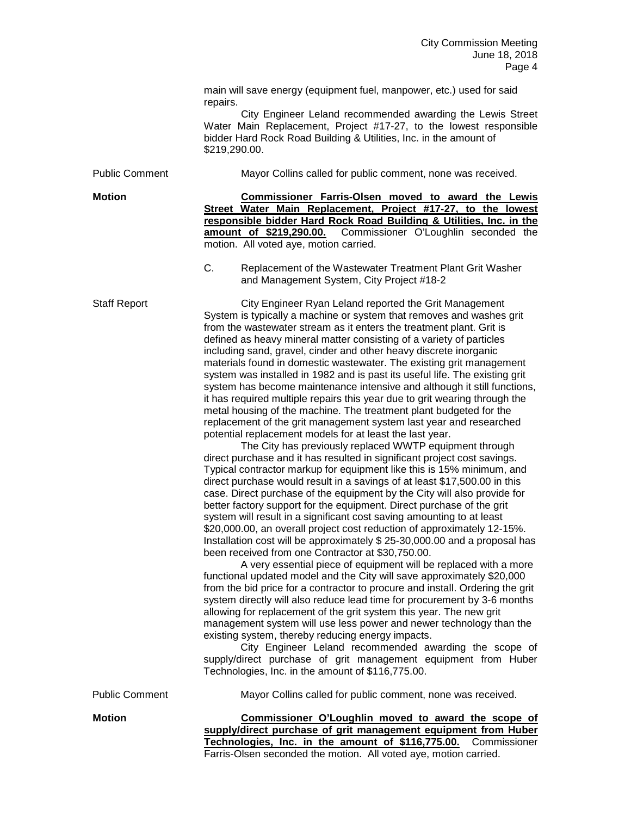main will save energy (equipment fuel, manpower, etc.) used for said repairs. City Engineer Leland recommended awarding the Lewis Street Water Main Replacement, Project #17-27, to the lowest responsible bidder Hard Rock Road Building & Utilities, Inc. in the amount of \$219,290.00. Public Comment Mayor Collins called for public comment, none was received. **Motion Commissioner Farris-Olsen moved to award the Lewis Street Water Main Replacement, Project #17-27, to the lowest responsible bidder Hard Rock Road Building & Utilities, Inc. in the amount of \$219,290.00.** Commissioner O'Loughlin seconded the motion. All voted aye, motion carried. C. Replacement of the Wastewater Treatment Plant Grit Washer and Management System, City Project #18-2 Staff Report City Engineer Ryan Leland reported the Grit Management System is typically a machine or system that removes and washes grit from the wastewater stream as it enters the treatment plant. Grit is defined as heavy mineral matter consisting of a variety of particles including sand, gravel, cinder and other heavy discrete inorganic materials found in domestic wastewater. The existing grit management system was installed in 1982 and is past its useful life. The existing grit system has become maintenance intensive and although it still functions, it has required multiple repairs this year due to grit wearing through the metal housing of the machine. The treatment plant budgeted for the replacement of the grit management system last year and researched potential replacement models for at least the last year. The City has previously replaced WWTP equipment through direct purchase and it has resulted in significant project cost savings. Typical contractor markup for equipment like this is 15% minimum, and direct purchase would result in a savings of at least \$17,500.00 in this case. Direct purchase of the equipment by the City will also provide for better factory support for the equipment. Direct purchase of the grit system will result in a significant cost saving amounting to at least \$20,000.00, an overall project cost reduction of approximately 12-15%. Installation cost will be approximately \$ 25-30,000.00 and a proposal has been received from one Contractor at \$30,750.00. A very essential piece of equipment will be replaced with a more functional updated model and the City will save approximately \$20,000 from the bid price for a contractor to procure and install. Ordering the grit system directly will also reduce lead time for procurement by 3-6 months allowing for replacement of the grit system this year. The new grit management system will use less power and newer technology than the existing system, thereby reducing energy impacts. City Engineer Leland recommended awarding the scope of supply/direct purchase of grit management equipment from Huber Technologies, Inc. in the amount of \$116,775.00. Public Comment Mayor Collins called for public comment, none was received. **Motion Commissioner O'Loughlin moved to award the scope of supply/direct purchase of grit management equipment from Huber Technologies, Inc. in the amount of \$116,775.00.** Commissioner

Farris-Olsen seconded the motion. All voted aye, motion carried.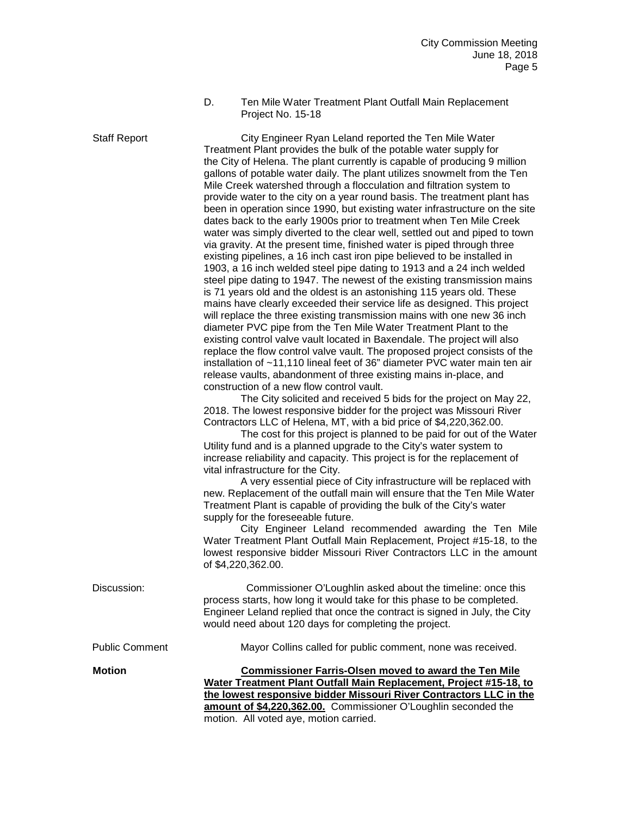D. Ten Mile Water Treatment Plant Outfall Main Replacement Project No. 15-18

Staff Report City Engineer Ryan Leland reported the Ten Mile Water Treatment Plant provides the bulk of the potable water supply for the City of Helena. The plant currently is capable of producing 9 million gallons of potable water daily. The plant utilizes snowmelt from the Ten Mile Creek watershed through a flocculation and filtration system to provide water to the city on a year round basis. The treatment plant has been in operation since 1990, but existing water infrastructure on the site dates back to the early 1900s prior to treatment when Ten Mile Creek water was simply diverted to the clear well, settled out and piped to town via gravity. At the present time, finished water is piped through three existing pipelines, a 16 inch cast iron pipe believed to be installed in 1903, a 16 inch welded steel pipe dating to 1913 and a 24 inch welded steel pipe dating to 1947. The newest of the existing transmission mains is 71 years old and the oldest is an astonishing 115 years old. These mains have clearly exceeded their service life as designed. This project will replace the three existing transmission mains with one new 36 inch diameter PVC pipe from the Ten Mile Water Treatment Plant to the existing control valve vault located in Baxendale. The project will also replace the flow control valve vault. The proposed project consists of the installation of ~11,110 lineal feet of 36" diameter PVC water main ten air release vaults, abandonment of three existing mains in-place, and construction of a new flow control vault.

> The City solicited and received 5 bids for the project on May 22, 2018. The lowest responsive bidder for the project was Missouri River Contractors LLC of Helena, MT, with a bid price of \$4,220,362.00.

The cost for this project is planned to be paid for out of the Water Utility fund and is a planned upgrade to the City's water system to increase reliability and capacity. This project is for the replacement of vital infrastructure for the City.

A very essential piece of City infrastructure will be replaced with new. Replacement of the outfall main will ensure that the Ten Mile Water Treatment Plant is capable of providing the bulk of the City's water supply for the foreseeable future.

City Engineer Leland recommended awarding the Ten Mile Water Treatment Plant Outfall Main Replacement, Project #15-18, to the lowest responsive bidder Missouri River Contractors LLC in the amount of \$4,220,362.00.

| Discussion:           | Commissioner O'Loughlin asked about the timeline: once this<br>process starts, how long it would take for this phase to be completed.<br>Engineer Leland replied that once the contract is signed in July, the City<br>would need about 120 days for completing the project.                                         |
|-----------------------|----------------------------------------------------------------------------------------------------------------------------------------------------------------------------------------------------------------------------------------------------------------------------------------------------------------------|
| <b>Public Comment</b> | Mayor Collins called for public comment, none was received.                                                                                                                                                                                                                                                          |
| <b>Motion</b>         | <b>Commissioner Farris-Olsen moved to award the Ten Mile</b><br>Water Treatment Plant Outfall Main Replacement, Project #15-18, to<br>the lowest responsive bidder Missouri River Contractors LLC in the<br>amount of \$4,220,362.00. Commissioner O'Loughlin seconded the<br>motion. All voted aye, motion carried. |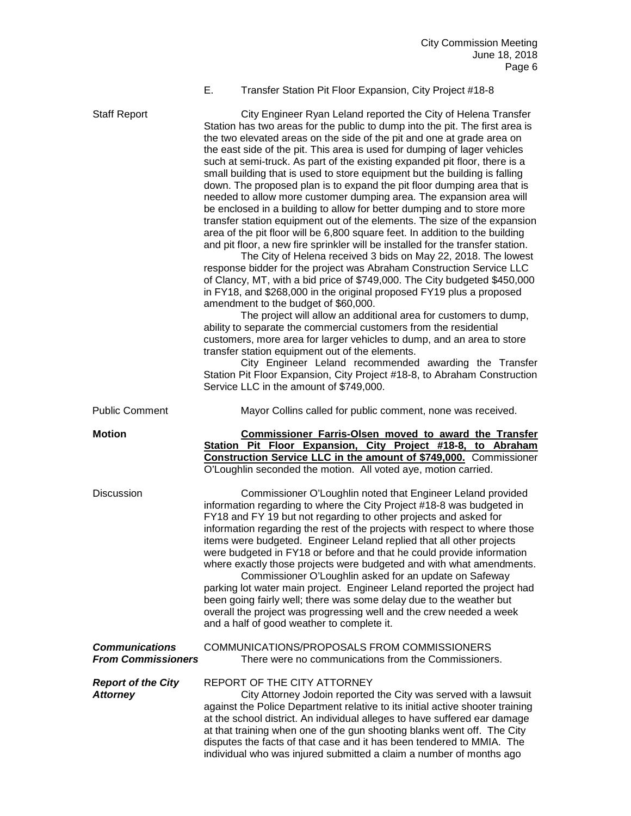## E. Transfer Station Pit Floor Expansion, City Project #18-8

Staff Report City Engineer Ryan Leland reported the City of Helena Transfer Station has two areas for the public to dump into the pit. The first area is the two elevated areas on the side of the pit and one at grade area on the east side of the pit. This area is used for dumping of lager vehicles such at semi-truck. As part of the existing expanded pit floor, there is a small building that is used to store equipment but the building is falling down. The proposed plan is to expand the pit floor dumping area that is needed to allow more customer dumping area. The expansion area will be enclosed in a building to allow for better dumping and to store more transfer station equipment out of the elements. The size of the expansion area of the pit floor will be 6,800 square feet. In addition to the building and pit floor, a new fire sprinkler will be installed for the transfer station. The City of Helena received 3 bids on May 22, 2018. The lowest response bidder for the project was Abraham Construction Service LLC of Clancy, MT, with a bid price of \$749,000. The City budgeted \$450,000 in FY18, and \$268,000 in the original proposed FY19 plus a proposed amendment to the budget of \$60,000. The project will allow an additional area for customers to dump, ability to separate the commercial customers from the residential customers, more area for larger vehicles to dump, and an area to store transfer station equipment out of the elements. City Engineer Leland recommended awarding the Transfer Station Pit Floor Expansion, City Project #18-8, to Abraham Construction Service LLC in the amount of \$749,000. Public Comment Mayor Collins called for public comment, none was received. **Motion Commissioner Farris-Olsen moved to award the Transfer Station Pit Floor Expansion, City Project #18-8, to Abraham Construction Service LLC in the amount of \$749,000.** Commissioner O'Loughlin seconded the motion. All voted aye, motion carried. Discussion Commissioner O'Loughlin noted that Engineer Leland provided information regarding to where the City Project #18-8 was budgeted in FY18 and FY 19 but not regarding to other projects and asked for information regarding the rest of the projects with respect to where those items were budgeted. Engineer Leland replied that all other projects were budgeted in FY18 or before and that he could provide information where exactly those projects were budgeted and with what amendments. Commissioner O'Loughlin asked for an update on Safeway parking lot water main project. Engineer Leland reported the project had been going fairly well; there was some delay due to the weather but overall the project was progressing well and the crew needed a week and a half of good weather to complete it. *Communications* COMMUNICATIONS/PROPOSALS FROM COMMISSIONERS *From Commissioners* There were no communications from the Commissioners. *Report of the City* REPORT OF THE CITY ATTORNEY **Attorney** City Attorney Jodoin reported the City was served with a lawsuit against the Police Department relative to its initial active shooter training at the school district. An individual alleges to have suffered ear damage at that training when one of the gun shooting blanks went off. The City disputes the facts of that case and it has been tendered to MMIA. The individual who was injured submitted a claim a number of months ago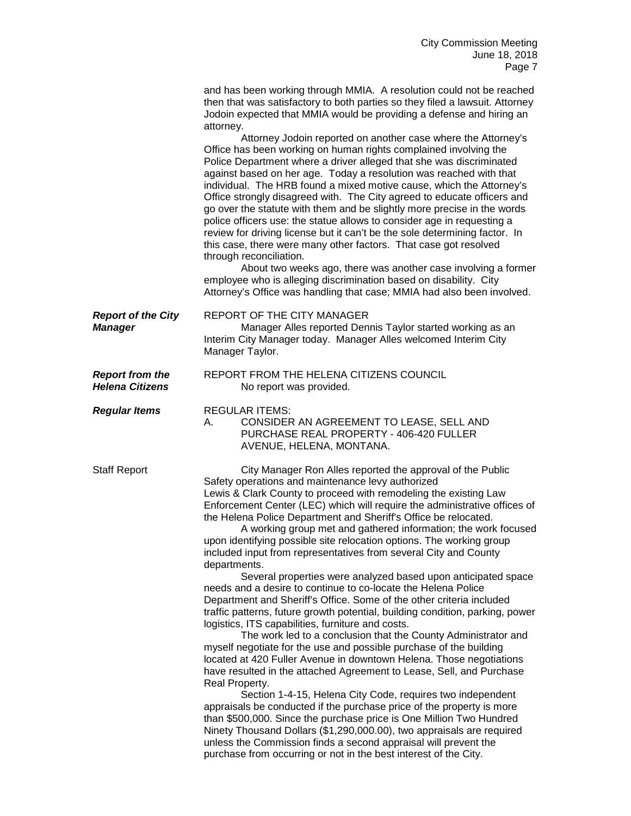|                                                  | and has been working through MMIA. A resolution could not be reached<br>then that was satisfactory to both parties so they filed a lawsuit. Attorney<br>Jodoin expected that MMIA would be providing a defense and hiring an<br>attorney.                                                                                                                                                                                                                                                                                                                                                                                                                                                                                                                                                                                                                                                                                                                                                                                                                                                                                                                                                                                                                                                                                                                                                                                                                                                                                                                                                                                                                |
|--------------------------------------------------|----------------------------------------------------------------------------------------------------------------------------------------------------------------------------------------------------------------------------------------------------------------------------------------------------------------------------------------------------------------------------------------------------------------------------------------------------------------------------------------------------------------------------------------------------------------------------------------------------------------------------------------------------------------------------------------------------------------------------------------------------------------------------------------------------------------------------------------------------------------------------------------------------------------------------------------------------------------------------------------------------------------------------------------------------------------------------------------------------------------------------------------------------------------------------------------------------------------------------------------------------------------------------------------------------------------------------------------------------------------------------------------------------------------------------------------------------------------------------------------------------------------------------------------------------------------------------------------------------------------------------------------------------------|
|                                                  | Attorney Jodoin reported on another case where the Attorney's<br>Office has been working on human rights complained involving the<br>Police Department where a driver alleged that she was discriminated<br>against based on her age. Today a resolution was reached with that<br>individual. The HRB found a mixed motive cause, which the Attorney's<br>Office strongly disagreed with. The City agreed to educate officers and<br>go over the statute with them and be slightly more precise in the words<br>police officers use: the statue allows to consider age in requesting a<br>review for driving license but it can't be the sole determining factor. In<br>this case, there were many other factors. That case got resolved<br>through reconciliation.<br>About two weeks ago, there was another case involving a former<br>employee who is alleging discrimination based on disability. City<br>Attorney's Office was handling that case; MMIA had also been involved.                                                                                                                                                                                                                                                                                                                                                                                                                                                                                                                                                                                                                                                                     |
| <b>Report of the City</b><br><b>Manager</b>      | REPORT OF THE CITY MANAGER<br>Manager Alles reported Dennis Taylor started working as an<br>Interim City Manager today. Manager Alles welcomed Interim City<br>Manager Taylor.                                                                                                                                                                                                                                                                                                                                                                                                                                                                                                                                                                                                                                                                                                                                                                                                                                                                                                                                                                                                                                                                                                                                                                                                                                                                                                                                                                                                                                                                           |
| <b>Report from the</b><br><b>Helena Citizens</b> | REPORT FROM THE HELENA CITIZENS COUNCIL<br>No report was provided.                                                                                                                                                                                                                                                                                                                                                                                                                                                                                                                                                                                                                                                                                                                                                                                                                                                                                                                                                                                                                                                                                                                                                                                                                                                                                                                                                                                                                                                                                                                                                                                       |
| <b>Regular Items</b>                             | <b>REGULAR ITEMS:</b><br>CONSIDER AN AGREEMENT TO LEASE, SELL AND<br>А.<br>PURCHASE REAL PROPERTY - 406-420 FULLER<br>AVENUE, HELENA, MONTANA.                                                                                                                                                                                                                                                                                                                                                                                                                                                                                                                                                                                                                                                                                                                                                                                                                                                                                                                                                                                                                                                                                                                                                                                                                                                                                                                                                                                                                                                                                                           |
| <b>Staff Report</b>                              | City Manager Ron Alles reported the approval of the Public<br>Safety operations and maintenance levy authorized<br>Lewis & Clark County to proceed with remodeling the existing Law<br>Enforcement Center (LEC) which will require the administrative offices of<br>the Helena Police Department and Sheriff's Office be relocated.<br>A working group met and gathered information; the work focused<br>upon identifying possible site relocation options. The working group<br>included input from representatives from several City and County<br>departments.<br>Several properties were analyzed based upon anticipated space<br>needs and a desire to continue to co-locate the Helena Police<br>Department and Sheriff's Office. Some of the other criteria included<br>traffic patterns, future growth potential, building condition, parking, power<br>logistics, ITS capabilities, furniture and costs.<br>The work led to a conclusion that the County Administrator and<br>myself negotiate for the use and possible purchase of the building<br>located at 420 Fuller Avenue in downtown Helena. Those negotiations<br>have resulted in the attached Agreement to Lease, Sell, and Purchase<br>Real Property.<br>Section 1-4-15, Helena City Code, requires two independent<br>appraisals be conducted if the purchase price of the property is more<br>than \$500,000. Since the purchase price is One Million Two Hundred<br>Ninety Thousand Dollars (\$1,290,000.00), two appraisals are required<br>unless the Commission finds a second appraisal will prevent the<br>purchase from occurring or not in the best interest of the City. |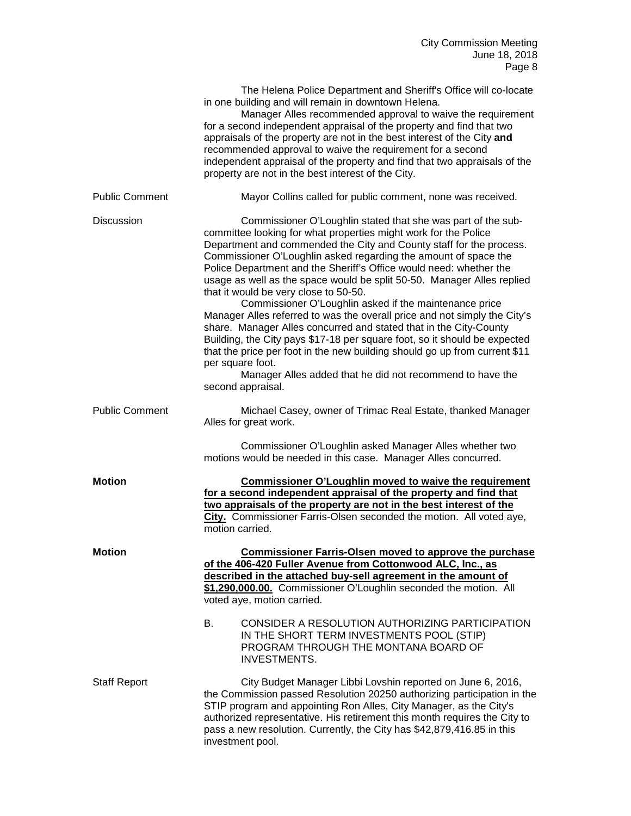|                       | The Helena Police Department and Sheriff's Office will co-locate<br>in one building and will remain in downtown Helena.<br>Manager Alles recommended approval to waive the requirement<br>for a second independent appraisal of the property and find that two<br>appraisals of the property are not in the best interest of the City and<br>recommended approval to waive the requirement for a second<br>independent appraisal of the property and find that two appraisals of the<br>property are not in the best interest of the City.                                                                                                                                                                                                                                                                                                                                                                                                      |
|-----------------------|-------------------------------------------------------------------------------------------------------------------------------------------------------------------------------------------------------------------------------------------------------------------------------------------------------------------------------------------------------------------------------------------------------------------------------------------------------------------------------------------------------------------------------------------------------------------------------------------------------------------------------------------------------------------------------------------------------------------------------------------------------------------------------------------------------------------------------------------------------------------------------------------------------------------------------------------------|
| <b>Public Comment</b> | Mayor Collins called for public comment, none was received.                                                                                                                                                                                                                                                                                                                                                                                                                                                                                                                                                                                                                                                                                                                                                                                                                                                                                     |
| <b>Discussion</b>     | Commissioner O'Loughlin stated that she was part of the sub-<br>committee looking for what properties might work for the Police<br>Department and commended the City and County staff for the process.<br>Commissioner O'Loughlin asked regarding the amount of space the<br>Police Department and the Sheriff's Office would need: whether the<br>usage as well as the space would be split 50-50. Manager Alles replied<br>that it would be very close to 50-50.<br>Commissioner O'Loughlin asked if the maintenance price<br>Manager Alles referred to was the overall price and not simply the City's<br>share. Manager Alles concurred and stated that in the City-County<br>Building, the City pays \$17-18 per square foot, so it should be expected<br>that the price per foot in the new building should go up from current \$11<br>per square foot.<br>Manager Alles added that he did not recommend to have the<br>second appraisal. |
| <b>Public Comment</b> | Michael Casey, owner of Trimac Real Estate, thanked Manager<br>Alles for great work.                                                                                                                                                                                                                                                                                                                                                                                                                                                                                                                                                                                                                                                                                                                                                                                                                                                            |
|                       | Commissioner O'Loughlin asked Manager Alles whether two<br>motions would be needed in this case. Manager Alles concurred.                                                                                                                                                                                                                                                                                                                                                                                                                                                                                                                                                                                                                                                                                                                                                                                                                       |
| <b>Motion</b>         | <b>Commissioner O'Loughlin moved to waive the requirement</b><br>for a second independent appraisal of the property and find that<br>two appraisals of the property are not in the best interest of the<br>City. Commissioner Farris-Olsen seconded the motion. All voted aye,<br>motion carried.                                                                                                                                                                                                                                                                                                                                                                                                                                                                                                                                                                                                                                               |
| <b>Motion</b>         | <b>Commissioner Farris-Olsen moved to approve the purchase</b><br>of the 406-420 Fuller Avenue from Cottonwood ALC, Inc., as<br>described in the attached buy-sell agreement in the amount of<br>\$1,290,000.00. Commissioner O'Loughlin seconded the motion. All<br>voted aye, motion carried.                                                                                                                                                                                                                                                                                                                                                                                                                                                                                                                                                                                                                                                 |
|                       | В.<br>CONSIDER A RESOLUTION AUTHORIZING PARTICIPATION<br>IN THE SHORT TERM INVESTMENTS POOL (STIP)<br>PROGRAM THROUGH THE MONTANA BOARD OF<br><b>INVESTMENTS.</b>                                                                                                                                                                                                                                                                                                                                                                                                                                                                                                                                                                                                                                                                                                                                                                               |
| <b>Staff Report</b>   | City Budget Manager Libbi Lovshin reported on June 6, 2016,<br>the Commission passed Resolution 20250 authorizing participation in the<br>STIP program and appointing Ron Alles, City Manager, as the City's<br>authorized representative. His retirement this month requires the City to<br>pass a new resolution. Currently, the City has \$42,879,416.85 in this<br>investment pool.                                                                                                                                                                                                                                                                                                                                                                                                                                                                                                                                                         |